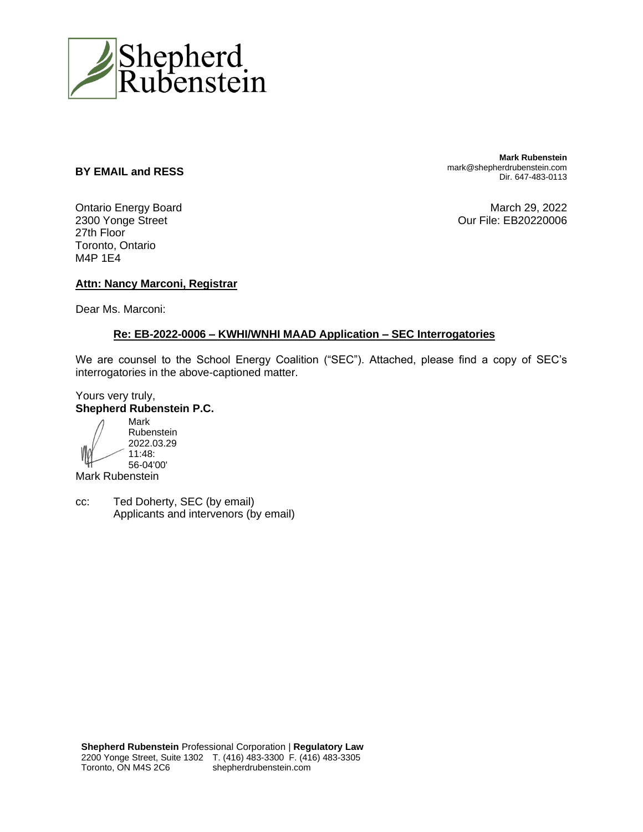

#### **BY EMAIL and RESS**

Ontario Energy Board 2300 Yonge Street 27th Floor Toronto, Ontario M4P 1E4

**Mark Rubenstein** mark@shepherdrubenstein.com Dir. 647-483-0113

March 29, 2022 Our File: EB20220006

### **Attn: Nancy Marconi, Registrar**

Dear Ms. Marconi:

#### **Re: EB-2022-0006 – KWHI/WNHI MAAD Application – SEC Interrogatories**

We are counsel to the School Energy Coalition ("SEC"). Attached, please find a copy of SEC's interrogatories in the above-captioned matter.

### Yours very truly, **Shepherd Rubenstein P.C.**

Mark Rubenstein 2022.03.29 11:48: 56-04'00'

Mark Rubenstein

cc: Ted Doherty, SEC (by email) Applicants and intervenors (by email)

**Shepherd Rubenstein** Professional Corporation | **Regulatory Law** 2200 Yonge Street, Suite 1302 T. (416) 483-3300 F. (416) 483-3305 Toronto, ON M4S 2C6 shepherdrubenstein.com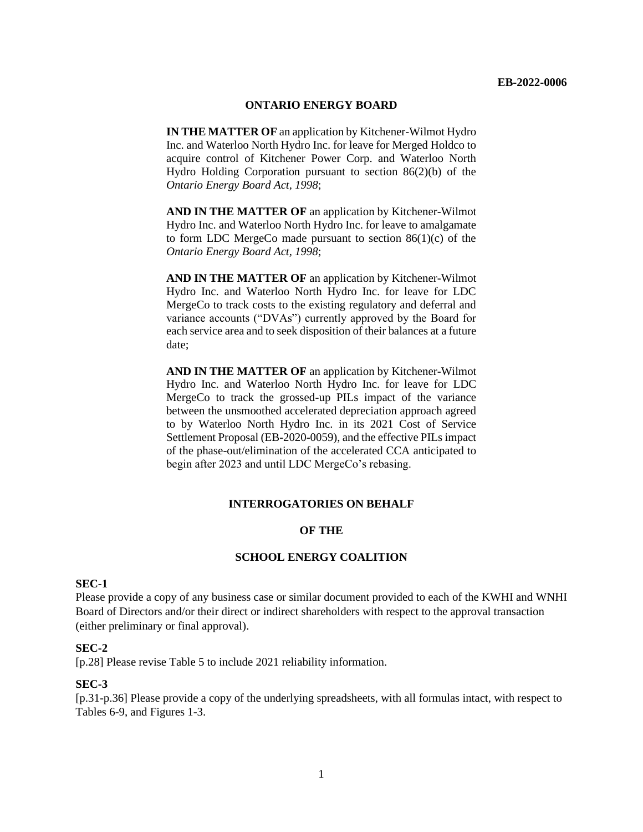#### **ONTARIO ENERGY BOARD**

**IN THE MATTER OF** an application by Kitchener-Wilmot Hydro Inc. and Waterloo North Hydro Inc. for leave for Merged Holdco to acquire control of Kitchener Power Corp. and Waterloo North Hydro Holding Corporation pursuant to section 86(2)(b) of the *Ontario Energy Board Act, 1998*;

**AND IN THE MATTER OF** an application by Kitchener-Wilmot Hydro Inc. and Waterloo North Hydro Inc. for leave to amalgamate to form LDC MergeCo made pursuant to section 86(1)(c) of the *Ontario Energy Board Act, 1998*;

**AND IN THE MATTER OF** an application by Kitchener-Wilmot Hydro Inc. and Waterloo North Hydro Inc. for leave for LDC MergeCo to track costs to the existing regulatory and deferral and variance accounts ("DVAs") currently approved by the Board for each service area and to seek disposition of their balances at a future date;

**AND IN THE MATTER OF** an application by Kitchener-Wilmot Hydro Inc. and Waterloo North Hydro Inc. for leave for LDC MergeCo to track the grossed-up PILs impact of the variance between the unsmoothed accelerated depreciation approach agreed to by Waterloo North Hydro Inc. in its 2021 Cost of Service Settlement Proposal (EB-2020-0059), and the effective PILs impact of the phase-out/elimination of the accelerated CCA anticipated to begin after 2023 and until LDC MergeCo's rebasing.

#### **INTERROGATORIES ON BEHALF**

#### **OF THE**

#### **SCHOOL ENERGY COALITION**

#### **SEC-1**

Please provide a copy of any business case or similar document provided to each of the KWHI and WNHI Board of Directors and/or their direct or indirect shareholders with respect to the approval transaction (either preliminary or final approval).

#### **SEC-2**

[p.28] Please revise Table 5 to include 2021 reliability information.

#### **SEC-3**

[p.31-p.36] Please provide a copy of the underlying spreadsheets, with all formulas intact, with respect to Tables 6-9, and Figures 1-3.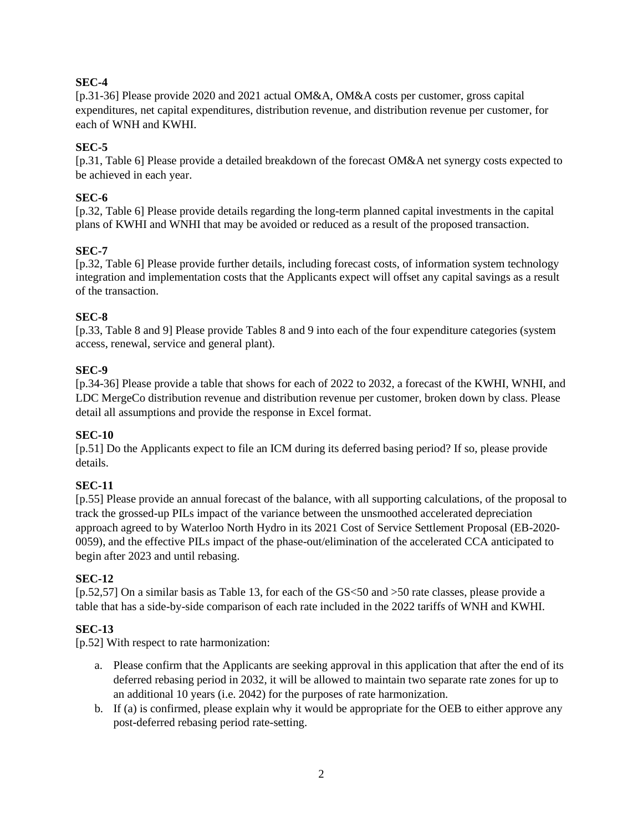## **SEC-4**

[p.31-36] Please provide 2020 and 2021 actual OM&A, OM&A costs per customer, gross capital expenditures, net capital expenditures, distribution revenue, and distribution revenue per customer, for each of WNH and KWHI.

## **SEC-5**

[p.31, Table 6] Please provide a detailed breakdown of the forecast OM&A net synergy costs expected to be achieved in each year.

## **SEC-6**

[p.32, Table 6] Please provide details regarding the long-term planned capital investments in the capital plans of KWHI and WNHI that may be avoided or reduced as a result of the proposed transaction.

## **SEC-7**

[p.32, Table 6] Please provide further details, including forecast costs, of information system technology integration and implementation costs that the Applicants expect will offset any capital savings as a result of the transaction.

## **SEC-8**

[p.33, Table 8 and 9] Please provide Tables 8 and 9 into each of the four expenditure categories (system access, renewal, service and general plant).

## **SEC-9**

[p.34-36] Please provide a table that shows for each of 2022 to 2032, a forecast of the KWHI, WNHI, and LDC MergeCo distribution revenue and distribution revenue per customer, broken down by class. Please detail all assumptions and provide the response in Excel format.

## **SEC-10**

[p.51] Do the Applicants expect to file an ICM during its deferred basing period? If so, please provide details.

# **SEC-11**

[p.55] Please provide an annual forecast of the balance, with all supporting calculations, of the proposal to track the grossed-up PILs impact of the variance between the unsmoothed accelerated depreciation approach agreed to by Waterloo North Hydro in its 2021 Cost of Service Settlement Proposal (EB-2020- 0059), and the effective PILs impact of the phase-out/elimination of the accelerated CCA anticipated to begin after 2023 and until rebasing.

## **SEC-12**

[p.52,57] On a similar basis as Table 13, for each of the GS<50 and >50 rate classes, please provide a table that has a side-by-side comparison of each rate included in the 2022 tariffs of WNH and KWHI.

# **SEC-13**

[p.52] With respect to rate harmonization:

- a. Please confirm that the Applicants are seeking approval in this application that after the end of its deferred rebasing period in 2032, it will be allowed to maintain two separate rate zones for up to an additional 10 years (i.e. 2042) for the purposes of rate harmonization.
- b. If (a) is confirmed, please explain why it would be appropriate for the OEB to either approve any post-deferred rebasing period rate-setting.